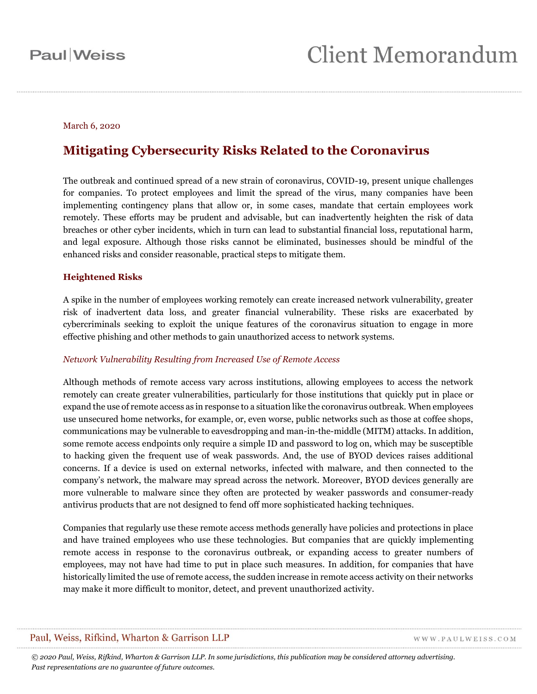#### March 6, 2020

### **Mitigating Cybersecurity Risks Related to the Coronavirus**

The outbreak and continued spread of a new strain of coronavirus, COVID-19, present unique challenges for companies. To protect employees and limit the spread of the virus, many companies have been implementing contingency plans that allow or, in some cases, mandate that certain employees work remotely. These efforts may be prudent and advisable, but can inadvertently heighten the risk of data breaches or other cyber incidents, which in turn can lead to substantial financial loss, reputational harm, and legal exposure. Although those risks cannot be eliminated, businesses should be mindful of the enhanced risks and consider reasonable, practical steps to mitigate them.

#### **Heightened Risks**

A spike in the number of employees working remotely can create increased network vulnerability, greater risk of inadvertent data loss, and greater financial vulnerability. These risks are exacerbated by cybercriminals seeking to exploit the unique features of the coronavirus situation to engage in more effective phishing and other methods to gain unauthorized access to network systems.

#### *Network Vulnerability Resulting from Increased Use of Remote Access*

Although methods of remote access vary across institutions, allowing employees to access the network remotely can create greater vulnerabilities, particularly for those institutions that quickly put in place or expand the use of remote access as in response to a situation like the coronavirus outbreak. When employees use unsecured home networks, for example, or, even worse, public networks such as those at coffee shops, communications may be vulnerable to eavesdropping and man-in-the-middle (MITM) attacks. In addition, some remote access endpoints only require a simple ID and password to log on, which may be susceptible to hacking given the frequent use of weak passwords. And, the use of BYOD devices raises additional concerns. If a device is used on external networks, infected with malware, and then connected to the company's network, the malware may spread across the network. Moreover, BYOD devices generally are more vulnerable to malware since they often are protected by weaker passwords and consumer-ready antivirus products that are not designed to fend off more sophisticated hacking techniques.

Companies that regularly use these remote access methods generally have policies and protections in place and have trained employees who use these technologies. But companies that are quickly implementing remote access in response to the coronavirus outbreak, or expanding access to greater numbers of employees, may not have had time to put in place such measures. In addition, for companies that have historically limited the use of remote access, the sudden increase in remote access activity on their networks may make it more difficult to monitor, detect, and prevent unauthorized activity.

#### Paul, Weiss, Rifkind, Wharton & Garrison LLP

WWW.PAULWEISS.COM

*© 2020 Paul, Weiss, Rifkind, Wharton & Garrison LLP. In some jurisdictions, this publication may be considered attorney advertising. Past representations are no guarantee of future outcomes.*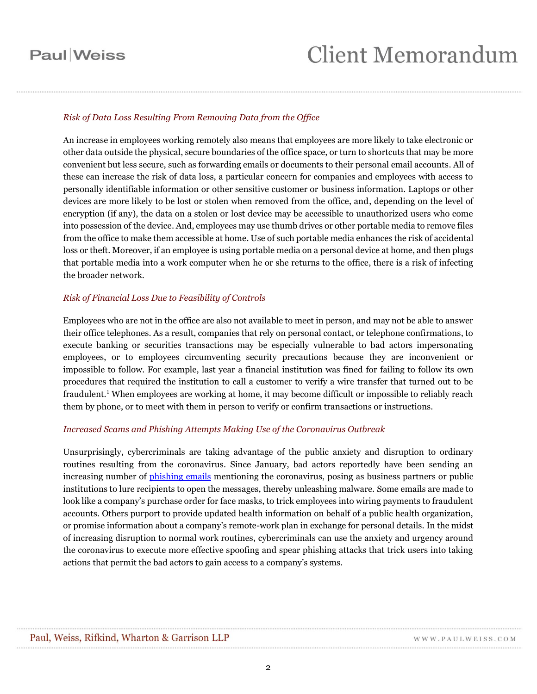## **Client Memorandum**

#### *Risk of Data Loss Resulting From Removing Data from the Office*

An increase in employees working remotely also means that employees are more likely to take electronic or other data outside the physical, secure boundaries of the office space, or turn to shortcuts that may be more convenient but less secure, such as forwarding emails or documents to their personal email accounts. All of these can increase the risk of data loss, a particular concern for companies and employees with access to personally identifiable information or other sensitive customer or business information. Laptops or other devices are more likely to be lost or stolen when removed from the office, and, depending on the level of encryption (if any), the data on a stolen or lost device may be accessible to unauthorized users who come into possession of the device. And, employees may use thumb drives or other portable media to remove files from the office to make them accessible at home. Use of such portable media enhances the risk of accidental loss or theft. Moreover, if an employee is using portable media on a personal device at home, and then plugs that portable media into a work computer when he or she returns to the office, there is a risk of infecting the broader network.

#### *Risk of Financial Loss Due to Feasibility of Controls*

Employees who are not in the office are also not available to meet in person, and may not be able to answer their office telephones. As a result, companies that rely on personal contact, or telephone confirmations, to execute banking or securities transactions may be especially vulnerable to bad actors impersonating employees, or to employees circumventing security precautions because they are inconvenient or impossible to follow. For example, last year a financial institution was fined for failing to follow its own procedures that required the institution to call a customer to verify a wire transfer that turned out to be fraudulent.<sup>1</sup> When employees are working at home, it may become difficult or impossible to reliably reach them by phone, or to meet with them in person to verify or confirm transactions or instructions.

#### *Increased Scams and Phishing Attempts Making Use of the Coronavirus Outbreak*

Unsurprisingly, cybercriminals are taking advantage of the public anxiety and disruption to ordinary routines resulting from the coronavirus. Since January, bad actors reportedly have been sending an increasing number of [phishing emails](https://www.wsj.com/articles/hackers-target-companies-with-coronavirus-scams-11583317802) mentioning the coronavirus, posing as business partners or public institutions to lure recipients to open the messages, thereby unleashing malware. Some emails are made to look like a company's purchase order for face masks, to trick employees into wiring payments to fraudulent accounts. Others purport to provide updated health information on behalf of a public health organization, or promise information about a company's remote-work plan in exchange for personal details. In the midst of increasing disruption to normal work routines, cybercriminals can use the anxiety and urgency around the coronavirus to execute more effective spoofing and spear phishing attacks that trick users into taking actions that permit the bad actors to gain access to a company's systems.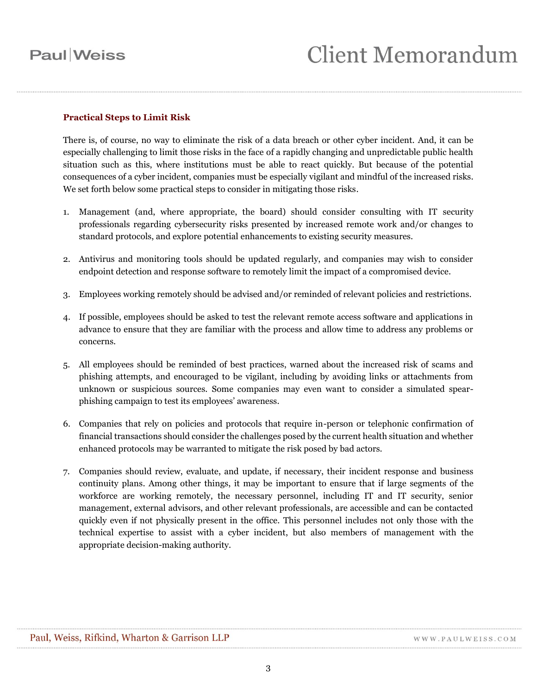#### **Practical Steps to Limit Risk**

There is, of course, no way to eliminate the risk of a data breach or other cyber incident. And, it can be especially challenging to limit those risks in the face of a rapidly changing and unpredictable public health situation such as this, where institutions must be able to react quickly. But because of the potential consequences of a cyber incident, companies must be especially vigilant and mindful of the increased risks. We set forth below some practical steps to consider in mitigating those risks.

- 1. Management (and, where appropriate, the board) should consider consulting with IT security professionals regarding cybersecurity risks presented by increased remote work and/or changes to standard protocols, and explore potential enhancements to existing security measures.
- 2. Antivirus and monitoring tools should be updated regularly, and companies may wish to consider endpoint detection and response software to remotely limit the impact of a compromised device.
- 3. Employees working remotely should be advised and/or reminded of relevant policies and restrictions.
- 4. If possible, employees should be asked to test the relevant remote access software and applications in advance to ensure that they are familiar with the process and allow time to address any problems or concerns.
- 5. All employees should be reminded of best practices, warned about the increased risk of scams and phishing attempts, and encouraged to be vigilant, including by avoiding links or attachments from unknown or suspicious sources. Some companies may even want to consider a simulated spearphishing campaign to test its employees' awareness.
- 6. Companies that rely on policies and protocols that require in-person or telephonic confirmation of financial transactions should consider the challenges posed by the current health situation and whether enhanced protocols may be warranted to mitigate the risk posed by bad actors.
- 7. Companies should review, evaluate, and update, if necessary, their incident response and business continuity plans. Among other things, it may be important to ensure that if large segments of the workforce are working remotely, the necessary personnel, including IT and IT security, senior management, external advisors, and other relevant professionals, are accessible and can be contacted quickly even if not physically present in the office. This personnel includes not only those with the technical expertise to assist with a cyber incident, but also members of management with the appropriate decision-making authority.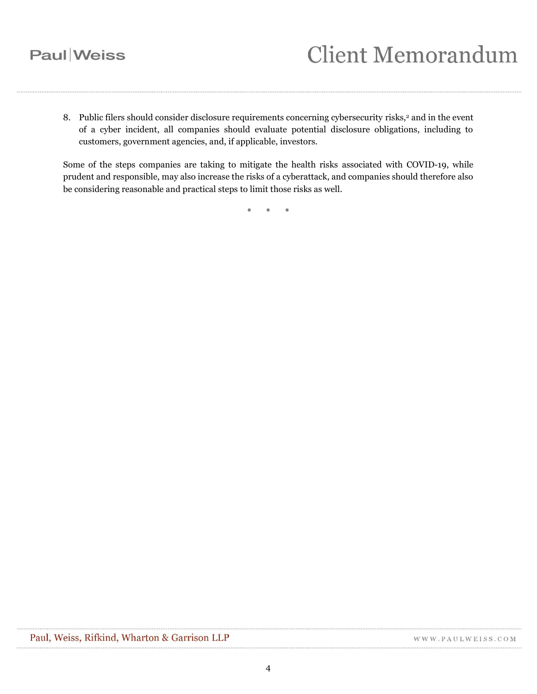# **Client Memorandum**

8. Public filers should consider disclosure requirements concerning cybersecurity risks,<sup>2</sup> and in the event of a cyber incident, all companies should evaluate potential disclosure obligations, including to customers, government agencies, and, if applicable, investors.

Some of the steps companies are taking to mitigate the health risks associated with COVID-19, while prudent and responsible, may also increase the risks of a cyberattack, and companies should therefore also be considering reasonable and practical steps to limit those risks as well.

\* \* \*